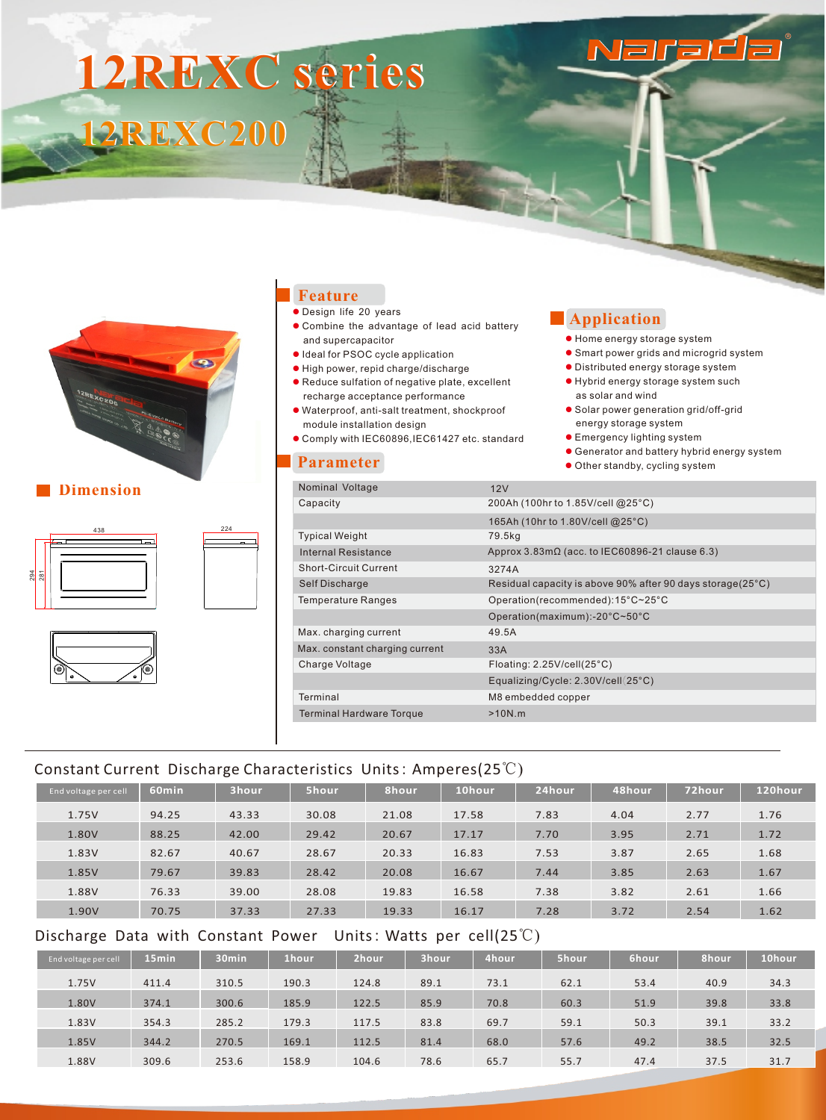# **12REXC series 12REXC200**



#### **N** Dimension





### **Feature**

- **· Design life 20 years**
- $\bullet$  Combine the advantage of lead acid battery and supercapacitor
- l Ideal for PSOC cycle application
- l High power, repid charge/discharge ● Reduce sulfation of negative plate, excellent
- recharge acceptance performance
- l Waterproof, anti-salt treatment, shockproof module installation design
- l Comply with IEC60896,IEC61427 etc. standard

#### **Parameter**

## **Application**

- l Home energy storage system
- **Smart power grids and microgrid system**

Naraét

- $\bullet$  Distributed energy storage system
- Hybrid energy storage system such as solar and wind
- Solar power generation grid/off-grid energy storage system
- **Emergency lighting system**
- **.** Generator and battery hybrid energy system
- **.** Other standby, cycling system

| Nominal Voltage                 | 12V                                                           |
|---------------------------------|---------------------------------------------------------------|
| Capacity                        | 200Ah (100hr to 1.85V/cell @25°C)                             |
|                                 | 165Ah (10hr to 1.80V/cell @25°C)                              |
| <b>Typical Weight</b>           | 79.5kg                                                        |
| Internal Resistance             | Approx $3.83 \text{m}\Omega$ (acc. to IEC60896-21 clause 6.3) |
| Short-Circuit Current           | 3274A                                                         |
| Self Discharge                  | Residual capacity is above 90% after 90 days storage(25°C)    |
| <b>Temperature Ranges</b>       | Operation(recommended):15°C~25°C                              |
|                                 | Operation(maximum):-20°C~50°C                                 |
| Max. charging current           | 49.5A                                                         |
| Max. constant charging current  | 33A                                                           |
| Charge Voltage                  | Floating: $2.25$ V/cell $(25^{\circ}C)$                       |
|                                 | Equalizing/Cycle: 2.30V/cell(25°C)                            |
| Terminal                        | M8 embedded copper                                            |
| <b>Terminal Hardware Torque</b> | $>10N$ .m                                                     |
|                                 |                                                               |

## Constant Current Discharge Characteristics Units: Amperes(25℃)

| End voltage per cell | 60 <sub>min</sub> | 3hour | 5hour | 8hour | 10hour | 24hour | 48hour | 72hour | 120hour |
|----------------------|-------------------|-------|-------|-------|--------|--------|--------|--------|---------|
| 1.75V                | 94.25             | 43.33 | 30.08 | 21.08 | 17.58  | 7.83   | 4.04   | 2.77   | 1.76    |
| 1.80V                | 88.25             | 42.00 | 29.42 | 20.67 | 17.17  | 7.70   | 3.95   | 2.71   | 1.72    |
| 1.83V                | 82.67             | 40.67 | 28.67 | 20.33 | 16.83  | 7.53   | 3.87   | 2.65   | 1.68    |
| 1.85V                | 79.67             | 39.83 | 28.42 | 20.08 | 16.67  | 7.44   | 3.85   | 2.63   | 1.67    |
| 1.88V                | 76.33             | 39.00 | 28.08 | 19.83 | 16.58  | 7.38   | 3.82   | 2.61   | 1.66    |
| 1.90V                | 70.75             | 37.33 | 27.33 | 19.33 | 16.17  | 7.28   | 3.72   | 2.54   | 1.62    |

## Discharge Data with Constant Power Units: Watts per cell(25℃)

| End voltage per cell | 15 <sub>min</sub> | 30 <sub>min</sub> | '1hour. | 2hour | 3hour | 4hour | 5hour | 6hour | 8hour | 10hour |
|----------------------|-------------------|-------------------|---------|-------|-------|-------|-------|-------|-------|--------|
| 1.75V                | 411.4             | 310.5             | 190.3   | 124.8 | 89.1  | 73.1  | 62.1  | 53.4  | 40.9  | 34.3   |
| 1.80V                | 374.1             | 300.6             | 185.9   | 122.5 | 85.9  | 70.8  | 60.3  | 51.9  | 39.8  | 33.8   |
| 1.83V                | 354.3             | 285.2             | 179.3   | 117.5 | 83.8  | 69.7  | 59.1  | 50.3  | 39.1  | 33.2   |
| 1.85V                | 344.2             | 270.5             | 169.1   | 112.5 | 81.4  | 68.0  | 57.6  | 49.2  | 38.5  | 32.5   |
| 1.88V                | 309.6             | 253.6             | 158.9   | 104.6 | 78.6  | 65.7  | 55.7  | 47.4  | 37.5  | 31.7   |
|                      |                   |                   |         |       |       |       |       |       |       |        |